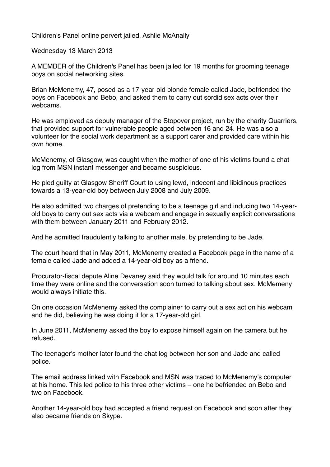Children's Panel online pervert jailed, Ashlie McAnally

Wednesday 13 March 2013

A MEMBER of the Children's Panel has been jailed for 19 months for grooming teenage boys on social networking sites.

Brian McMenemy, 47, posed as a 17-year-old blonde female called Jade, befriended the boys on Facebook and Bebo, and asked them to carry out sordid sex acts over their webcams.

He was employed as deputy manager of the Stopover project, run by the charity Quarriers, that provided support for vulnerable people aged between 16 and 24. He was also a volunteer for the social work department as a support carer and provided care within his own home.

McMenemy, of Glasgow, was caught when the mother of one of his victims found a chat log from MSN instant messenger and became suspicious.

He pled guilty at Glasgow Sheriff Court to using lewd, indecent and libidinous practices towards a 13-year-old boy between July 2008 and July 2009.

He also admitted two charges of pretending to be a teenage girl and inducing two 14-yearold boys to carry out sex acts via a webcam and engage in sexually explicit conversations with them between January 2011 and February 2012.

And he admitted fraudulently talking to another male, by pretending to be Jade.

The court heard that in May 2011, McMenemy created a Facebook page in the name of a female called Jade and added a 14-year-old boy as a friend.

Procurator-fiscal depute Aline Devaney said they would talk for around 10 minutes each time they were online and the conversation soon turned to talking about sex. McMemeny would always initiate this.

On one occasion McMenemy asked the complainer to carry out a sex act on his webcam and he did, believing he was doing it for a 17-year-old girl.

In June 2011, McMenemy asked the boy to expose himself again on the camera but he refused.

The teenager's mother later found the chat log between her son and Jade and called police.

The email address linked with Facebook and MSN was traced to McMenemy's computer at his home. This led police to his three other victims – one he befriended on Bebo and two on Facebook.

Another 14-year-old boy had accepted a friend request on Facebook and soon after they also became friends on Skype.